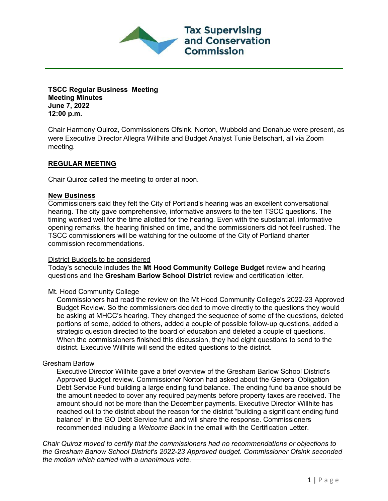**Tax Supervising** and Conservation Commission

**TSCC Regular Business Meeting Meeting Minutes June 7, 2022 12:00 p.m.**

Chair Harmony Quiroz, Commissioners Ofsink, Norton, Wubbold and Donahue were present, as were Executive Director Allegra Willhite and Budget Analyst Tunie Betschart, all via Zoom meeting.

# **REGULAR MEETING**

Chair Quiroz called the meeting to order at noon.

### **New Business**

Commissioners said they felt the City of Portland's hearing was an excellent conversational hearing. The city gave comprehensive, informative answers to the ten TSCC questions. The timing worked well for the time allotted for the hearing. Even with the substantial, informative opening remarks, the hearing finished on time, and the commissioners did not feel rushed. The TSCC commissioners will be watching for the outcome of the City of Portland charter commission recommendations.

#### District Budgets to be considered

Today's schedule includes the **Mt Hood Community College Budget** review and hearing questions and the **Gresham Barlow School District** review and certification letter.

#### Mt. Hood Community College

Commissioners had read the review on the Mt Hood Community College's 2022-23 Approved Budget Review. So the commissioners decided to move directly to the questions they would be asking at MHCC's hearing. They changed the sequence of some of the questions, deleted portions of some, added to others, added a couple of possible follow-up questions, added a strategic question directed to the board of education and deleted a couple of questions. When the commissioners finished this discussion, they had eight questions to send to the district. Executive Willhite will send the edited questions to the district.

## Gresham Barlow

Executive Director Willhite gave a brief overview of the Gresham Barlow School District's Approved Budget review. Commissioner Norton had asked about the General Obligation Debt Service Fund building a large ending fund balance. The ending fund balance should be the amount needed to cover any required payments before property taxes are received. The amount should not be more than the December payments. Executive Director Willhite has reached out to the district about the reason for the district "building a significant ending fund balance" in the GO Debt Service fund and will share the response. Commissioners recommended including a *Welcome Back* in the email with the Certification Letter.

*Chair Quiroz moved to certify that the commissioners had no recommendations or objections to the Gresham Barlow School District's 2022-23 Approved budget. Commissioner Ofsink seconded the motion which carried with a unanimous vote.*